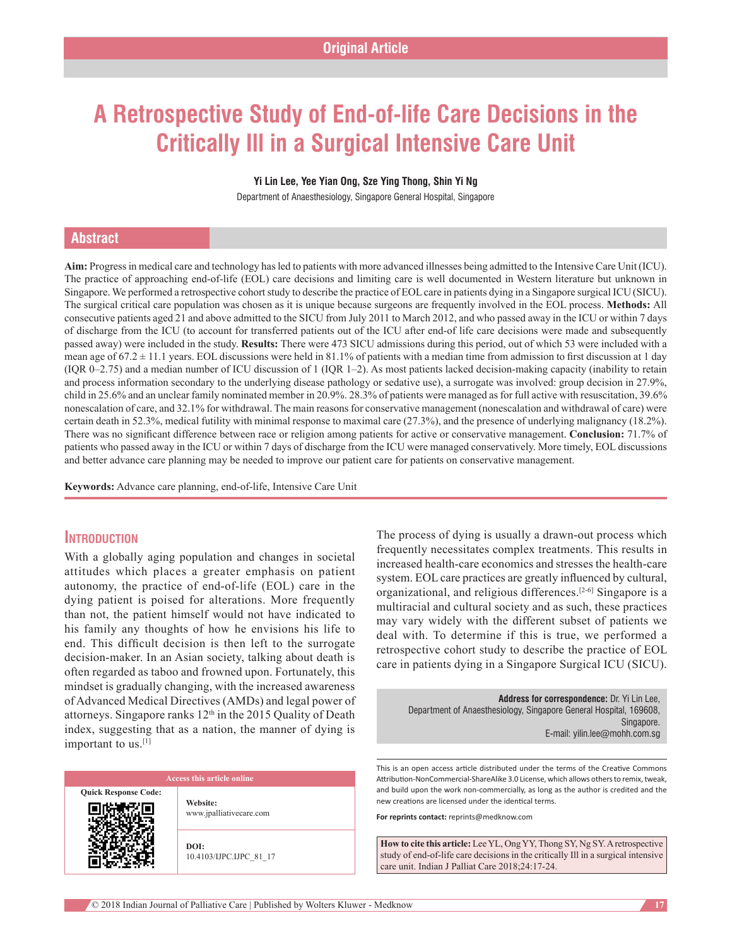# **A Retrospective Study of End-of-life Care Decisions in the Critically Ill in a Surgical Intensive Care Unit**

#### **Yi Lin Lee, Yee Yian Ong, Sze Ying Thong, Shin Yi Ng**

Department of Anaesthesiology, Singapore General Hospital, Singapore

# **Abstract**

**Aim:** Progress in medical care and technology has led to patients with more advanced illnesses being admitted to the Intensive Care Unit(ICU). The practice of approaching end-of-life (EOL) care decisions and limiting care is well documented in Western literature but unknown in Singapore. We performed a retrospective cohort study to describe the practice of EOL care in patients dying in a Singapore surgical ICU (SICU). The surgical critical care population was chosen as it is unique because surgeons are frequently involved in the EOL process. **Methods:** All consecutive patients aged 21 and above admitted to the SICU from July 2011 to March 2012, and who passed away in the ICU or within 7 days of discharge from the ICU (to account for transferred patients out of the ICU after end‑of life care decisions were made and subsequently passed away) were included in the study. **Results:** There were 473 SICU admissions during this period, out of which 53 were included with a mean age of  $67.2 \pm 11.1$  years. EOL discussions were held in 81.1% of patients with a median time from admission to first discussion at 1 day  $(1QR 0-2.75)$  and a median number of ICU discussion of 1 (IQR 1–2). As most patients lacked decision-making capacity (inability to retain and process information secondary to the underlying disease pathology or sedative use), a surrogate was involved: group decision in 27.9%, child in 25.6% and an unclear family nominated member in 20.9%. 28.3% of patients were managed as for full active with resuscitation, 39.6% nonescalation of care, and 32.1% for withdrawal. The main reasons for conservative management (nonescalation and withdrawal of care) were certain death in 52.3%, medical futility with minimal response to maximal care (27.3%), and the presence of underlying malignancy (18.2%). There was no significant difference between race or religion among patients for active or conservative management. **Conclusion:** 71.7% of patients who passed away in the ICU or within 7 days of discharge from the ICU were managed conservatively. More timely, EOL discussions and better advance care planning may be needed to improve our patient care for patients on conservative management.

**Keywords:** Advance care planning, end‑of‑life, Intensive Care Unit

## **Introduction**

With a globally aging population and changes in societal attitudes which places a greater emphasis on patient autonomy, the practice of end‑of‑life (EOL) care in the dying patient is poised for alterations. More frequently than not, the patient himself would not have indicated to his family any thoughts of how he envisions his life to end. This difficult decision is then left to the surrogate decision-maker. In an Asian society, talking about death is often regarded as taboo and frowned upon. Fortunately, this mindset is gradually changing, with the increased awareness of Advanced Medical Directives (AMDs) and legal power of attorneys. Singapore ranks 12<sup>th</sup> in the 2015 Quality of Death index, suggesting that as a nation, the manner of dying is important to us.[1]

|                             | Access this article online          |
|-----------------------------|-------------------------------------|
| <b>Quick Response Code:</b> | Website:<br>www.jpalliativecare.com |
|                             | DOI:<br>10.4103/IJPC.IJPC 81 17     |

The process of dying is usually a drawn‑out process which frequently necessitates complex treatments. This results in increased health-care economics and stresses the health-care system. EOL care practices are greatly influenced by cultural, organizational, and religious differences.<sup>[2-6]</sup> Singapore is a multiracial and cultural society and as such, these practices may vary widely with the different subset of patients we deal with. To determine if this is true, we performed a retrospective cohort study to describe the practice of EOL care in patients dying in a Singapore Surgical ICU (SICU).

> **Address for correspondence:** Dr. Yi Lin Lee, Department of Anaesthesiology, Singapore General Hospital, 169608, Singapore. E‑mail: yilin.lee@mohh.com.sg

This is an open access article distributed under the terms of the Creative Commons Attribution-NonCommercial-ShareAlike 3.0 License, which allows others to remix, tweak, and build upon the work non‑commercially, as long as the author is credited and the new creations are licensed under the identical terms.

**For reprints contact:** reprints@medknow.com

**How to cite this article:** Lee YL, Ong YY, Thong SY, Ng SY. A retrospective study of end-of-life care decisions in the critically Ill in a surgical intensive care unit. Indian J Palliat Care 2018;24:17-24.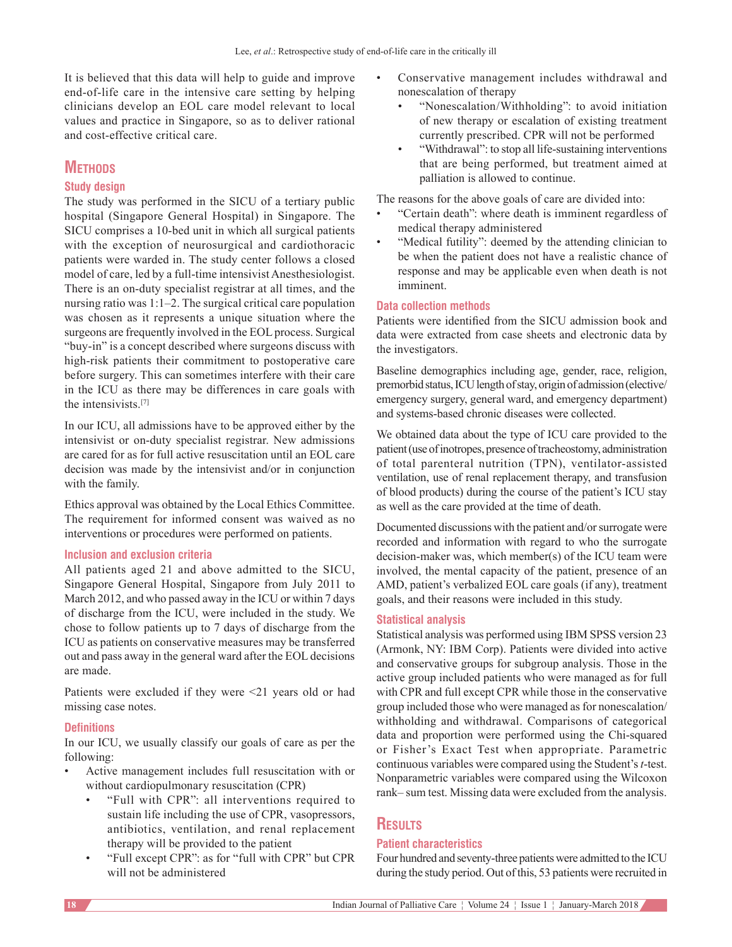It is believed that this data will help to guide and improve end-of-life care in the intensive care setting by helping clinicians develop an EOL care model relevant to local values and practice in Singapore, so as to deliver rational and cost‑effective critical care.

# **METHODS**

## **Study design**

The study was performed in the SICU of a tertiary public hospital (Singapore General Hospital) in Singapore. The SICU comprises a 10‑bed unit in which all surgical patients with the exception of neurosurgical and cardiothoracic patients were warded in. The study center follows a closed model of care, led by a full-time intensivist Anesthesiologist. There is an on-duty specialist registrar at all times, and the nursing ratio was 1:1–2. The surgical critical care population was chosen as it represents a unique situation where the surgeons are frequently involved in the EOL process. Surgical "buy‑in" is a concept described where surgeons discuss with high-risk patients their commitment to postoperative care before surgery. This can sometimes interfere with their care in the ICU as there may be differences in care goals with the intensivists.[7]

In our ICU, all admissions have to be approved either by the intensivist or on-duty specialist registrar. New admissions are cared for as for full active resuscitation until an EOL care decision was made by the intensivist and/or in conjunction with the family.

Ethics approval was obtained by the Local Ethics Committee. The requirement for informed consent was waived as no interventions or procedures were performed on patients.

## **Inclusion and exclusion criteria**

All patients aged 21 and above admitted to the SICU, Singapore General Hospital, Singapore from July 2011 to March 2012, and who passed away in the ICU or within 7 days of discharge from the ICU, were included in the study. We chose to follow patients up to 7 days of discharge from the ICU as patients on conservative measures may be transferred out and pass away in the general ward after the EOL decisions are made.

Patients were excluded if they were <21 years old or had missing case notes.

## **Definitions**

In our ICU, we usually classify our goals of care as per the following:

- Active management includes full resuscitation with or without cardiopulmonary resuscitation (CPR)
	- "Full with CPR": all interventions required to sustain life including the use of CPR, vasopressors, antibiotics, ventilation, and renal replacement therapy will be provided to the patient
	- "Full except CPR": as for "full with CPR" but CPR will not be administered
- Conservative management includes withdrawal and nonescalation of therapy
	- "Nonescalation/Withholding": to avoid initiation of new therapy or escalation of existing treatment currently prescribed. CPR will not be performed
	- "Withdrawal": to stop all life‑sustaining interventions that are being performed, but treatment aimed at palliation is allowed to continue.

The reasons for the above goals of care are divided into:

- "Certain death": where death is imminent regardless of medical therapy administered
- "Medical futility": deemed by the attending clinician to be when the patient does not have a realistic chance of response and may be applicable even when death is not imminent.

## **Data collection methods**

Patients were identified from the SICU admission book and data were extracted from case sheets and electronic data by the investigators.

Baseline demographics including age, gender, race, religion, premorbid status, ICU length of stay, origin of admission(elective/ emergency surgery, general ward, and emergency department) and systems‑based chronic diseases were collected.

We obtained data about the type of ICU care provided to the patient(use of inotropes, presence of tracheostomy, administration of total parenteral nutrition (TPN), ventilator-assisted ventilation, use of renal replacement therapy, and transfusion of blood products) during the course of the patient's ICU stay as well as the care provided at the time of death.

Documented discussions with the patient and/or surrogate were recorded and information with regard to who the surrogate decision-maker was, which member(s) of the ICU team were involved, the mental capacity of the patient, presence of an AMD, patient's verbalized EOL care goals (if any), treatment goals, and their reasons were included in this study.

## **Statistical analysis**

Statistical analysis was performed using IBM SPSS version 23 (Armonk, NY: IBM Corp). Patients were divided into active and conservative groups for subgroup analysis. Those in the active group included patients who were managed as for full with CPR and full except CPR while those in the conservative group included those who were managed as for nonescalation/ withholding and withdrawal. Comparisons of categorical data and proportion were performed using the Chi-squared or Fisher's Exact Test when appropriate. Parametric continuous variables were compared using the Student's *t*‑test. Nonparametric variables were compared using the Wilcoxon rank– sum test. Missing data were excluded from the analysis.

# **Results**

## **Patient characteristics**

Four hundred and seventy‑three patients were admitted to the ICU during the study period. Out of this, 53 patients were recruited in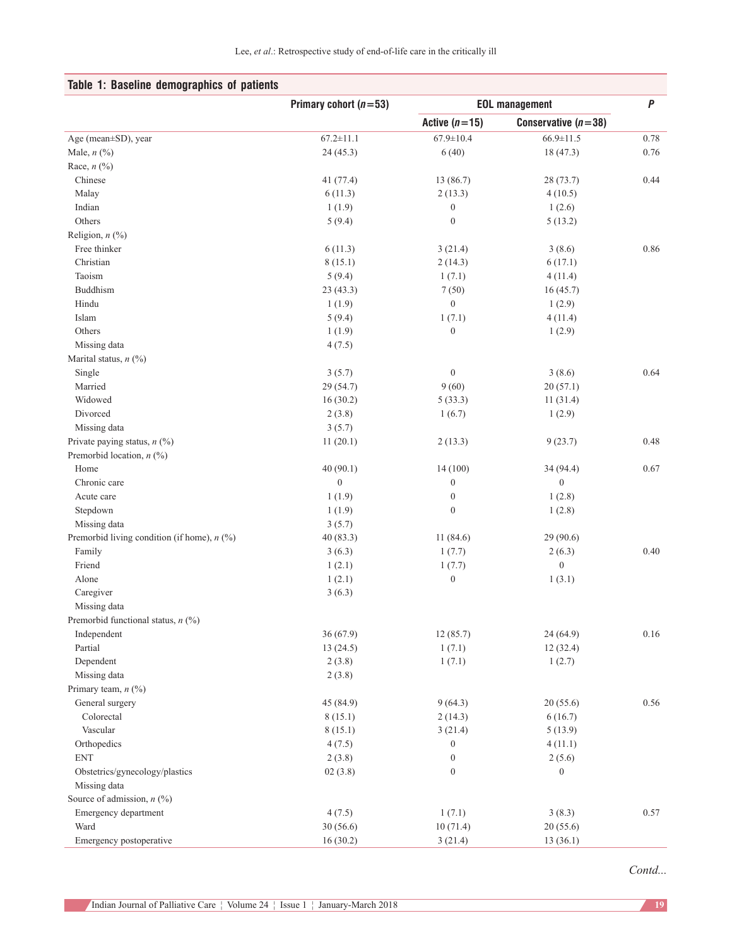| $\pmb{P}$<br>Primary cohort $(n=53)$<br><b>EOL management</b><br>Conservative $(n=38)$<br>Active $(n=15)$<br>$67.2 \pm 11.1$<br>$67.9 \pm 10.4$<br>$66.9 \pm 11.5$<br>Age (mean±SD), year<br>0.78<br>Male, $n$ $(\%)$<br>24(45.3)<br>6(40)<br>18 (47.3)<br>0.76<br>Race, $n$ (%)<br>Chinese<br>13 (86.7)<br>41 (77.4)<br>28 (73.7)<br>0.44<br>Malay<br>6(11.3)<br>2(13.3)<br>4(10.5)<br>Indian<br>$\boldsymbol{0}$<br>1(1.9)<br>1(2.6)<br>Others<br>$\boldsymbol{0}$<br>5(9.4)<br>5(13.2)<br>Religion, $n$ (%)<br>Free thinker<br>0.86<br>6(11.3)<br>3(21.4)<br>3(8.6)<br>Christian<br>8(15.1)<br>6(17.1)<br>2(14.3)<br>Taoism<br>5(9.4)<br>1(7.1)<br>4(11.4)<br>Buddhism<br>23(43.3)<br>7(50)<br>16(45.7)<br>Hindu<br>$\boldsymbol{0}$<br>1(1.9)<br>1(2.9)<br>Islam<br>5(9.4)<br>1(7.1)<br>4(11.4)<br>Others<br>$\boldsymbol{0}$<br>1(2.9)<br>1(1.9)<br>Missing data<br>4(7.5)<br>Marital status, $n$ (%)<br>$\boldsymbol{0}$<br>Single<br>3(8.6)<br>0.64<br>3(5.7)<br>Married<br>29 (54.7)<br>9(60)<br>20(57.1)<br>Widowed<br>16(30.2)<br>5(33.3)<br>11(31.4)<br>Divorced<br>2(3.8)<br>1(6.7)<br>1(2.9)<br>3(5.7)<br>Missing data<br>Private paying status, $n$ (%)<br>0.48<br>11(20.1)<br>2(13.3)<br>9(23.7)<br>Premorbid location, n (%)<br>40(90.1)<br>14(100)<br>Home<br>34 (94.4)<br>0.67<br>Chronic care<br>$\boldsymbol{0}$<br>$\boldsymbol{0}$<br>$\boldsymbol{0}$<br>Acute care<br>1(1.9)<br>$\boldsymbol{0}$<br>1(2.8)<br>$\boldsymbol{0}$<br>Stepdown<br>1(1.9)<br>1(2.8)<br>Missing data<br>3(5.7)<br>Premorbid living condition (if home), $n$ (%)<br>11(84.6)<br>40(83.3)<br>29 (90.6)<br>Family<br>0.40<br>3(6.3)<br>1(7.7)<br>2(6.3)<br>Friend<br>1(2.1)<br>$\boldsymbol{0}$<br>1(7.7)<br>Alone<br>1(2.1)<br>$\boldsymbol{0}$<br>1(3.1)<br>Caregiver<br>3(6.3)<br>Missing data<br>Premorbid functional status, $n$ (%)<br>0.16<br>Independent<br>36(67.9)<br>12(85.7)<br>24 (64.9)<br>Partial<br>13(24.5)<br>1(7.1)<br>12(32.4)<br>Dependent<br>2(3.8)<br>1(2.7)<br>1(7.1)<br>Missing data<br>2(3.8)<br>Primary team, $n$ (%)<br>General surgery<br>45 (84.9)<br>9(64.3)<br>20(55.6)<br>0.56<br>Colorectal<br>8(15.1)<br>6(16.7)<br>2(14.3)<br>Vascular<br>8(15.1)<br>3(21.4)<br>5(13.9)<br>4(7.5)<br>Orthopedics<br>$\boldsymbol{0}$<br>4(11.1)<br><b>ENT</b><br>$\boldsymbol{0}$<br>2(3.8)<br>2(5.6)<br>$\boldsymbol{0}$<br>Obstetrics/gynecology/plastics<br>02(3.8)<br>$\mathbf{0}$<br>Missing data<br>Source of admission, $n$ (%)<br>1(7.1)<br>3(8.3)<br>0.57<br>Emergency department<br>4(7.5)<br>Ward<br>30(56.6)<br>10(71.4)<br>20(55.6)<br>Emergency postoperative<br>16(30.2)<br>13(36.1)<br>3(21.4) | Table 1: Baseline demographics of patients |  |  |  |
|-----------------------------------------------------------------------------------------------------------------------------------------------------------------------------------------------------------------------------------------------------------------------------------------------------------------------------------------------------------------------------------------------------------------------------------------------------------------------------------------------------------------------------------------------------------------------------------------------------------------------------------------------------------------------------------------------------------------------------------------------------------------------------------------------------------------------------------------------------------------------------------------------------------------------------------------------------------------------------------------------------------------------------------------------------------------------------------------------------------------------------------------------------------------------------------------------------------------------------------------------------------------------------------------------------------------------------------------------------------------------------------------------------------------------------------------------------------------------------------------------------------------------------------------------------------------------------------------------------------------------------------------------------------------------------------------------------------------------------------------------------------------------------------------------------------------------------------------------------------------------------------------------------------------------------------------------------------------------------------------------------------------------------------------------------------------------------------------------------------------------------------------------------------------------------------------------------------------------------------------------------------------------------------------------------------------------------------------------------------------------------------------------------------------------------------------------------------------------------------------------------------------------------------------------------------------------------------------------------------------------------------|--------------------------------------------|--|--|--|
|                                                                                                                                                                                                                                                                                                                                                                                                                                                                                                                                                                                                                                                                                                                                                                                                                                                                                                                                                                                                                                                                                                                                                                                                                                                                                                                                                                                                                                                                                                                                                                                                                                                                                                                                                                                                                                                                                                                                                                                                                                                                                                                                                                                                                                                                                                                                                                                                                                                                                                                                                                                                                                   |                                            |  |  |  |
|                                                                                                                                                                                                                                                                                                                                                                                                                                                                                                                                                                                                                                                                                                                                                                                                                                                                                                                                                                                                                                                                                                                                                                                                                                                                                                                                                                                                                                                                                                                                                                                                                                                                                                                                                                                                                                                                                                                                                                                                                                                                                                                                                                                                                                                                                                                                                                                                                                                                                                                                                                                                                                   |                                            |  |  |  |
|                                                                                                                                                                                                                                                                                                                                                                                                                                                                                                                                                                                                                                                                                                                                                                                                                                                                                                                                                                                                                                                                                                                                                                                                                                                                                                                                                                                                                                                                                                                                                                                                                                                                                                                                                                                                                                                                                                                                                                                                                                                                                                                                                                                                                                                                                                                                                                                                                                                                                                                                                                                                                                   |                                            |  |  |  |
|                                                                                                                                                                                                                                                                                                                                                                                                                                                                                                                                                                                                                                                                                                                                                                                                                                                                                                                                                                                                                                                                                                                                                                                                                                                                                                                                                                                                                                                                                                                                                                                                                                                                                                                                                                                                                                                                                                                                                                                                                                                                                                                                                                                                                                                                                                                                                                                                                                                                                                                                                                                                                                   |                                            |  |  |  |
|                                                                                                                                                                                                                                                                                                                                                                                                                                                                                                                                                                                                                                                                                                                                                                                                                                                                                                                                                                                                                                                                                                                                                                                                                                                                                                                                                                                                                                                                                                                                                                                                                                                                                                                                                                                                                                                                                                                                                                                                                                                                                                                                                                                                                                                                                                                                                                                                                                                                                                                                                                                                                                   |                                            |  |  |  |
|                                                                                                                                                                                                                                                                                                                                                                                                                                                                                                                                                                                                                                                                                                                                                                                                                                                                                                                                                                                                                                                                                                                                                                                                                                                                                                                                                                                                                                                                                                                                                                                                                                                                                                                                                                                                                                                                                                                                                                                                                                                                                                                                                                                                                                                                                                                                                                                                                                                                                                                                                                                                                                   |                                            |  |  |  |
|                                                                                                                                                                                                                                                                                                                                                                                                                                                                                                                                                                                                                                                                                                                                                                                                                                                                                                                                                                                                                                                                                                                                                                                                                                                                                                                                                                                                                                                                                                                                                                                                                                                                                                                                                                                                                                                                                                                                                                                                                                                                                                                                                                                                                                                                                                                                                                                                                                                                                                                                                                                                                                   |                                            |  |  |  |
|                                                                                                                                                                                                                                                                                                                                                                                                                                                                                                                                                                                                                                                                                                                                                                                                                                                                                                                                                                                                                                                                                                                                                                                                                                                                                                                                                                                                                                                                                                                                                                                                                                                                                                                                                                                                                                                                                                                                                                                                                                                                                                                                                                                                                                                                                                                                                                                                                                                                                                                                                                                                                                   |                                            |  |  |  |
|                                                                                                                                                                                                                                                                                                                                                                                                                                                                                                                                                                                                                                                                                                                                                                                                                                                                                                                                                                                                                                                                                                                                                                                                                                                                                                                                                                                                                                                                                                                                                                                                                                                                                                                                                                                                                                                                                                                                                                                                                                                                                                                                                                                                                                                                                                                                                                                                                                                                                                                                                                                                                                   |                                            |  |  |  |
|                                                                                                                                                                                                                                                                                                                                                                                                                                                                                                                                                                                                                                                                                                                                                                                                                                                                                                                                                                                                                                                                                                                                                                                                                                                                                                                                                                                                                                                                                                                                                                                                                                                                                                                                                                                                                                                                                                                                                                                                                                                                                                                                                                                                                                                                                                                                                                                                                                                                                                                                                                                                                                   |                                            |  |  |  |
|                                                                                                                                                                                                                                                                                                                                                                                                                                                                                                                                                                                                                                                                                                                                                                                                                                                                                                                                                                                                                                                                                                                                                                                                                                                                                                                                                                                                                                                                                                                                                                                                                                                                                                                                                                                                                                                                                                                                                                                                                                                                                                                                                                                                                                                                                                                                                                                                                                                                                                                                                                                                                                   |                                            |  |  |  |
|                                                                                                                                                                                                                                                                                                                                                                                                                                                                                                                                                                                                                                                                                                                                                                                                                                                                                                                                                                                                                                                                                                                                                                                                                                                                                                                                                                                                                                                                                                                                                                                                                                                                                                                                                                                                                                                                                                                                                                                                                                                                                                                                                                                                                                                                                                                                                                                                                                                                                                                                                                                                                                   |                                            |  |  |  |
|                                                                                                                                                                                                                                                                                                                                                                                                                                                                                                                                                                                                                                                                                                                                                                                                                                                                                                                                                                                                                                                                                                                                                                                                                                                                                                                                                                                                                                                                                                                                                                                                                                                                                                                                                                                                                                                                                                                                                                                                                                                                                                                                                                                                                                                                                                                                                                                                                                                                                                                                                                                                                                   |                                            |  |  |  |
|                                                                                                                                                                                                                                                                                                                                                                                                                                                                                                                                                                                                                                                                                                                                                                                                                                                                                                                                                                                                                                                                                                                                                                                                                                                                                                                                                                                                                                                                                                                                                                                                                                                                                                                                                                                                                                                                                                                                                                                                                                                                                                                                                                                                                                                                                                                                                                                                                                                                                                                                                                                                                                   |                                            |  |  |  |
|                                                                                                                                                                                                                                                                                                                                                                                                                                                                                                                                                                                                                                                                                                                                                                                                                                                                                                                                                                                                                                                                                                                                                                                                                                                                                                                                                                                                                                                                                                                                                                                                                                                                                                                                                                                                                                                                                                                                                                                                                                                                                                                                                                                                                                                                                                                                                                                                                                                                                                                                                                                                                                   |                                            |  |  |  |
|                                                                                                                                                                                                                                                                                                                                                                                                                                                                                                                                                                                                                                                                                                                                                                                                                                                                                                                                                                                                                                                                                                                                                                                                                                                                                                                                                                                                                                                                                                                                                                                                                                                                                                                                                                                                                                                                                                                                                                                                                                                                                                                                                                                                                                                                                                                                                                                                                                                                                                                                                                                                                                   |                                            |  |  |  |
|                                                                                                                                                                                                                                                                                                                                                                                                                                                                                                                                                                                                                                                                                                                                                                                                                                                                                                                                                                                                                                                                                                                                                                                                                                                                                                                                                                                                                                                                                                                                                                                                                                                                                                                                                                                                                                                                                                                                                                                                                                                                                                                                                                                                                                                                                                                                                                                                                                                                                                                                                                                                                                   |                                            |  |  |  |
|                                                                                                                                                                                                                                                                                                                                                                                                                                                                                                                                                                                                                                                                                                                                                                                                                                                                                                                                                                                                                                                                                                                                                                                                                                                                                                                                                                                                                                                                                                                                                                                                                                                                                                                                                                                                                                                                                                                                                                                                                                                                                                                                                                                                                                                                                                                                                                                                                                                                                                                                                                                                                                   |                                            |  |  |  |
|                                                                                                                                                                                                                                                                                                                                                                                                                                                                                                                                                                                                                                                                                                                                                                                                                                                                                                                                                                                                                                                                                                                                                                                                                                                                                                                                                                                                                                                                                                                                                                                                                                                                                                                                                                                                                                                                                                                                                                                                                                                                                                                                                                                                                                                                                                                                                                                                                                                                                                                                                                                                                                   |                                            |  |  |  |
|                                                                                                                                                                                                                                                                                                                                                                                                                                                                                                                                                                                                                                                                                                                                                                                                                                                                                                                                                                                                                                                                                                                                                                                                                                                                                                                                                                                                                                                                                                                                                                                                                                                                                                                                                                                                                                                                                                                                                                                                                                                                                                                                                                                                                                                                                                                                                                                                                                                                                                                                                                                                                                   |                                            |  |  |  |
|                                                                                                                                                                                                                                                                                                                                                                                                                                                                                                                                                                                                                                                                                                                                                                                                                                                                                                                                                                                                                                                                                                                                                                                                                                                                                                                                                                                                                                                                                                                                                                                                                                                                                                                                                                                                                                                                                                                                                                                                                                                                                                                                                                                                                                                                                                                                                                                                                                                                                                                                                                                                                                   |                                            |  |  |  |
|                                                                                                                                                                                                                                                                                                                                                                                                                                                                                                                                                                                                                                                                                                                                                                                                                                                                                                                                                                                                                                                                                                                                                                                                                                                                                                                                                                                                                                                                                                                                                                                                                                                                                                                                                                                                                                                                                                                                                                                                                                                                                                                                                                                                                                                                                                                                                                                                                                                                                                                                                                                                                                   |                                            |  |  |  |
|                                                                                                                                                                                                                                                                                                                                                                                                                                                                                                                                                                                                                                                                                                                                                                                                                                                                                                                                                                                                                                                                                                                                                                                                                                                                                                                                                                                                                                                                                                                                                                                                                                                                                                                                                                                                                                                                                                                                                                                                                                                                                                                                                                                                                                                                                                                                                                                                                                                                                                                                                                                                                                   |                                            |  |  |  |
|                                                                                                                                                                                                                                                                                                                                                                                                                                                                                                                                                                                                                                                                                                                                                                                                                                                                                                                                                                                                                                                                                                                                                                                                                                                                                                                                                                                                                                                                                                                                                                                                                                                                                                                                                                                                                                                                                                                                                                                                                                                                                                                                                                                                                                                                                                                                                                                                                                                                                                                                                                                                                                   |                                            |  |  |  |
|                                                                                                                                                                                                                                                                                                                                                                                                                                                                                                                                                                                                                                                                                                                                                                                                                                                                                                                                                                                                                                                                                                                                                                                                                                                                                                                                                                                                                                                                                                                                                                                                                                                                                                                                                                                                                                                                                                                                                                                                                                                                                                                                                                                                                                                                                                                                                                                                                                                                                                                                                                                                                                   |                                            |  |  |  |
|                                                                                                                                                                                                                                                                                                                                                                                                                                                                                                                                                                                                                                                                                                                                                                                                                                                                                                                                                                                                                                                                                                                                                                                                                                                                                                                                                                                                                                                                                                                                                                                                                                                                                                                                                                                                                                                                                                                                                                                                                                                                                                                                                                                                                                                                                                                                                                                                                                                                                                                                                                                                                                   |                                            |  |  |  |
|                                                                                                                                                                                                                                                                                                                                                                                                                                                                                                                                                                                                                                                                                                                                                                                                                                                                                                                                                                                                                                                                                                                                                                                                                                                                                                                                                                                                                                                                                                                                                                                                                                                                                                                                                                                                                                                                                                                                                                                                                                                                                                                                                                                                                                                                                                                                                                                                                                                                                                                                                                                                                                   |                                            |  |  |  |
|                                                                                                                                                                                                                                                                                                                                                                                                                                                                                                                                                                                                                                                                                                                                                                                                                                                                                                                                                                                                                                                                                                                                                                                                                                                                                                                                                                                                                                                                                                                                                                                                                                                                                                                                                                                                                                                                                                                                                                                                                                                                                                                                                                                                                                                                                                                                                                                                                                                                                                                                                                                                                                   |                                            |  |  |  |
|                                                                                                                                                                                                                                                                                                                                                                                                                                                                                                                                                                                                                                                                                                                                                                                                                                                                                                                                                                                                                                                                                                                                                                                                                                                                                                                                                                                                                                                                                                                                                                                                                                                                                                                                                                                                                                                                                                                                                                                                                                                                                                                                                                                                                                                                                                                                                                                                                                                                                                                                                                                                                                   |                                            |  |  |  |
|                                                                                                                                                                                                                                                                                                                                                                                                                                                                                                                                                                                                                                                                                                                                                                                                                                                                                                                                                                                                                                                                                                                                                                                                                                                                                                                                                                                                                                                                                                                                                                                                                                                                                                                                                                                                                                                                                                                                                                                                                                                                                                                                                                                                                                                                                                                                                                                                                                                                                                                                                                                                                                   |                                            |  |  |  |
|                                                                                                                                                                                                                                                                                                                                                                                                                                                                                                                                                                                                                                                                                                                                                                                                                                                                                                                                                                                                                                                                                                                                                                                                                                                                                                                                                                                                                                                                                                                                                                                                                                                                                                                                                                                                                                                                                                                                                                                                                                                                                                                                                                                                                                                                                                                                                                                                                                                                                                                                                                                                                                   |                                            |  |  |  |
|                                                                                                                                                                                                                                                                                                                                                                                                                                                                                                                                                                                                                                                                                                                                                                                                                                                                                                                                                                                                                                                                                                                                                                                                                                                                                                                                                                                                                                                                                                                                                                                                                                                                                                                                                                                                                                                                                                                                                                                                                                                                                                                                                                                                                                                                                                                                                                                                                                                                                                                                                                                                                                   |                                            |  |  |  |
|                                                                                                                                                                                                                                                                                                                                                                                                                                                                                                                                                                                                                                                                                                                                                                                                                                                                                                                                                                                                                                                                                                                                                                                                                                                                                                                                                                                                                                                                                                                                                                                                                                                                                                                                                                                                                                                                                                                                                                                                                                                                                                                                                                                                                                                                                                                                                                                                                                                                                                                                                                                                                                   |                                            |  |  |  |
|                                                                                                                                                                                                                                                                                                                                                                                                                                                                                                                                                                                                                                                                                                                                                                                                                                                                                                                                                                                                                                                                                                                                                                                                                                                                                                                                                                                                                                                                                                                                                                                                                                                                                                                                                                                                                                                                                                                                                                                                                                                                                                                                                                                                                                                                                                                                                                                                                                                                                                                                                                                                                                   |                                            |  |  |  |
|                                                                                                                                                                                                                                                                                                                                                                                                                                                                                                                                                                                                                                                                                                                                                                                                                                                                                                                                                                                                                                                                                                                                                                                                                                                                                                                                                                                                                                                                                                                                                                                                                                                                                                                                                                                                                                                                                                                                                                                                                                                                                                                                                                                                                                                                                                                                                                                                                                                                                                                                                                                                                                   |                                            |  |  |  |
|                                                                                                                                                                                                                                                                                                                                                                                                                                                                                                                                                                                                                                                                                                                                                                                                                                                                                                                                                                                                                                                                                                                                                                                                                                                                                                                                                                                                                                                                                                                                                                                                                                                                                                                                                                                                                                                                                                                                                                                                                                                                                                                                                                                                                                                                                                                                                                                                                                                                                                                                                                                                                                   |                                            |  |  |  |
|                                                                                                                                                                                                                                                                                                                                                                                                                                                                                                                                                                                                                                                                                                                                                                                                                                                                                                                                                                                                                                                                                                                                                                                                                                                                                                                                                                                                                                                                                                                                                                                                                                                                                                                                                                                                                                                                                                                                                                                                                                                                                                                                                                                                                                                                                                                                                                                                                                                                                                                                                                                                                                   |                                            |  |  |  |
|                                                                                                                                                                                                                                                                                                                                                                                                                                                                                                                                                                                                                                                                                                                                                                                                                                                                                                                                                                                                                                                                                                                                                                                                                                                                                                                                                                                                                                                                                                                                                                                                                                                                                                                                                                                                                                                                                                                                                                                                                                                                                                                                                                                                                                                                                                                                                                                                                                                                                                                                                                                                                                   |                                            |  |  |  |
|                                                                                                                                                                                                                                                                                                                                                                                                                                                                                                                                                                                                                                                                                                                                                                                                                                                                                                                                                                                                                                                                                                                                                                                                                                                                                                                                                                                                                                                                                                                                                                                                                                                                                                                                                                                                                                                                                                                                                                                                                                                                                                                                                                                                                                                                                                                                                                                                                                                                                                                                                                                                                                   |                                            |  |  |  |
|                                                                                                                                                                                                                                                                                                                                                                                                                                                                                                                                                                                                                                                                                                                                                                                                                                                                                                                                                                                                                                                                                                                                                                                                                                                                                                                                                                                                                                                                                                                                                                                                                                                                                                                                                                                                                                                                                                                                                                                                                                                                                                                                                                                                                                                                                                                                                                                                                                                                                                                                                                                                                                   |                                            |  |  |  |
|                                                                                                                                                                                                                                                                                                                                                                                                                                                                                                                                                                                                                                                                                                                                                                                                                                                                                                                                                                                                                                                                                                                                                                                                                                                                                                                                                                                                                                                                                                                                                                                                                                                                                                                                                                                                                                                                                                                                                                                                                                                                                                                                                                                                                                                                                                                                                                                                                                                                                                                                                                                                                                   |                                            |  |  |  |
|                                                                                                                                                                                                                                                                                                                                                                                                                                                                                                                                                                                                                                                                                                                                                                                                                                                                                                                                                                                                                                                                                                                                                                                                                                                                                                                                                                                                                                                                                                                                                                                                                                                                                                                                                                                                                                                                                                                                                                                                                                                                                                                                                                                                                                                                                                                                                                                                                                                                                                                                                                                                                                   |                                            |  |  |  |
|                                                                                                                                                                                                                                                                                                                                                                                                                                                                                                                                                                                                                                                                                                                                                                                                                                                                                                                                                                                                                                                                                                                                                                                                                                                                                                                                                                                                                                                                                                                                                                                                                                                                                                                                                                                                                                                                                                                                                                                                                                                                                                                                                                                                                                                                                                                                                                                                                                                                                                                                                                                                                                   |                                            |  |  |  |
|                                                                                                                                                                                                                                                                                                                                                                                                                                                                                                                                                                                                                                                                                                                                                                                                                                                                                                                                                                                                                                                                                                                                                                                                                                                                                                                                                                                                                                                                                                                                                                                                                                                                                                                                                                                                                                                                                                                                                                                                                                                                                                                                                                                                                                                                                                                                                                                                                                                                                                                                                                                                                                   |                                            |  |  |  |
|                                                                                                                                                                                                                                                                                                                                                                                                                                                                                                                                                                                                                                                                                                                                                                                                                                                                                                                                                                                                                                                                                                                                                                                                                                                                                                                                                                                                                                                                                                                                                                                                                                                                                                                                                                                                                                                                                                                                                                                                                                                                                                                                                                                                                                                                                                                                                                                                                                                                                                                                                                                                                                   |                                            |  |  |  |
|                                                                                                                                                                                                                                                                                                                                                                                                                                                                                                                                                                                                                                                                                                                                                                                                                                                                                                                                                                                                                                                                                                                                                                                                                                                                                                                                                                                                                                                                                                                                                                                                                                                                                                                                                                                                                                                                                                                                                                                                                                                                                                                                                                                                                                                                                                                                                                                                                                                                                                                                                                                                                                   |                                            |  |  |  |
|                                                                                                                                                                                                                                                                                                                                                                                                                                                                                                                                                                                                                                                                                                                                                                                                                                                                                                                                                                                                                                                                                                                                                                                                                                                                                                                                                                                                                                                                                                                                                                                                                                                                                                                                                                                                                                                                                                                                                                                                                                                                                                                                                                                                                                                                                                                                                                                                                                                                                                                                                                                                                                   |                                            |  |  |  |
|                                                                                                                                                                                                                                                                                                                                                                                                                                                                                                                                                                                                                                                                                                                                                                                                                                                                                                                                                                                                                                                                                                                                                                                                                                                                                                                                                                                                                                                                                                                                                                                                                                                                                                                                                                                                                                                                                                                                                                                                                                                                                                                                                                                                                                                                                                                                                                                                                                                                                                                                                                                                                                   |                                            |  |  |  |
|                                                                                                                                                                                                                                                                                                                                                                                                                                                                                                                                                                                                                                                                                                                                                                                                                                                                                                                                                                                                                                                                                                                                                                                                                                                                                                                                                                                                                                                                                                                                                                                                                                                                                                                                                                                                                                                                                                                                                                                                                                                                                                                                                                                                                                                                                                                                                                                                                                                                                                                                                                                                                                   |                                            |  |  |  |
|                                                                                                                                                                                                                                                                                                                                                                                                                                                                                                                                                                                                                                                                                                                                                                                                                                                                                                                                                                                                                                                                                                                                                                                                                                                                                                                                                                                                                                                                                                                                                                                                                                                                                                                                                                                                                                                                                                                                                                                                                                                                                                                                                                                                                                                                                                                                                                                                                                                                                                                                                                                                                                   |                                            |  |  |  |
|                                                                                                                                                                                                                                                                                                                                                                                                                                                                                                                                                                                                                                                                                                                                                                                                                                                                                                                                                                                                                                                                                                                                                                                                                                                                                                                                                                                                                                                                                                                                                                                                                                                                                                                                                                                                                                                                                                                                                                                                                                                                                                                                                                                                                                                                                                                                                                                                                                                                                                                                                                                                                                   |                                            |  |  |  |
|                                                                                                                                                                                                                                                                                                                                                                                                                                                                                                                                                                                                                                                                                                                                                                                                                                                                                                                                                                                                                                                                                                                                                                                                                                                                                                                                                                                                                                                                                                                                                                                                                                                                                                                                                                                                                                                                                                                                                                                                                                                                                                                                                                                                                                                                                                                                                                                                                                                                                                                                                                                                                                   |                                            |  |  |  |
|                                                                                                                                                                                                                                                                                                                                                                                                                                                                                                                                                                                                                                                                                                                                                                                                                                                                                                                                                                                                                                                                                                                                                                                                                                                                                                                                                                                                                                                                                                                                                                                                                                                                                                                                                                                                                                                                                                                                                                                                                                                                                                                                                                                                                                                                                                                                                                                                                                                                                                                                                                                                                                   |                                            |  |  |  |
|                                                                                                                                                                                                                                                                                                                                                                                                                                                                                                                                                                                                                                                                                                                                                                                                                                                                                                                                                                                                                                                                                                                                                                                                                                                                                                                                                                                                                                                                                                                                                                                                                                                                                                                                                                                                                                                                                                                                                                                                                                                                                                                                                                                                                                                                                                                                                                                                                                                                                                                                                                                                                                   |                                            |  |  |  |

*Contd...*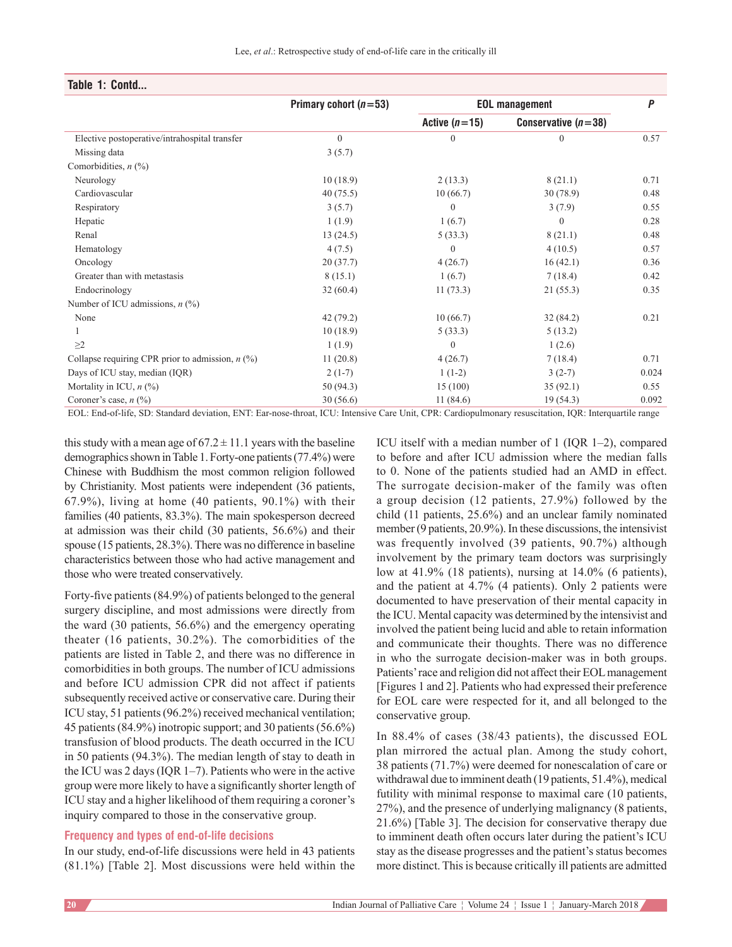| P<br>Conservative $(n=38)$<br>0.57<br>$\Omega$ |
|------------------------------------------------|
|                                                |
|                                                |
|                                                |
|                                                |
|                                                |
| 0.71<br>8(21.1)                                |
| 30(78.9)<br>0.48                               |
| 3(7.9)<br>0.55                                 |
| 0.28<br>$\overline{0}$                         |
| 8(21.1)<br>0.48                                |
| 4(10.5)<br>0.57                                |
| 16(42.1)<br>0.36                               |
| 7(18.4)<br>0.42                                |
| 21(55.3)<br>0.35                               |
|                                                |
| 0.21<br>32(84.2)                               |
| 5(13.2)                                        |
| 1(2.6)                                         |
| 0.71<br>7(18.4)                                |
| $3(2-7)$<br>0.024                              |
| 35(92.1)<br>0.55                               |
| 19(54.3)<br>0.092                              |
|                                                |

## **Table 1: Contd...**

EOL: End‑of‑life, SD: Standard deviation, ENT: Ear‑nose‑throat, ICU: Intensive Care Unit, CPR: Cardiopulmonary resuscitation, IQR: Interquartile range

this study with a mean age of  $67.2 \pm 11.1$  years with the baseline demographics shown in Table 1. Forty-one patients (77.4%) were Chinese with Buddhism the most common religion followed by Christianity. Most patients were independent (36 patients, 67.9%), living at home (40 patients, 90.1%) with their families (40 patients, 83.3%). The main spokesperson decreed at admission was their child (30 patients, 56.6%) and their spouse (15 patients, 28.3%). There was no difference in baseline characteristics between those who had active management and those who were treated conservatively.

Forty-five patients (84.9%) of patients belonged to the general surgery discipline, and most admissions were directly from the ward (30 patients, 56.6%) and the emergency operating theater (16 patients, 30.2%). The comorbidities of the patients are listed in Table 2, and there was no difference in comorbidities in both groups. The number of ICU admissions and before ICU admission CPR did not affect if patients subsequently received active or conservative care. During their ICU stay, 51 patients(96.2%) received mechanical ventilation; 45 patients(84.9%) inotropic support; and 30 patients(56.6%) transfusion of blood products. The death occurred in the ICU in 50 patients (94.3%). The median length of stay to death in the ICU was 2 days(IQR 1–7). Patients who were in the active group were more likely to have a significantly shorter length of ICU stay and a higher likelihood of them requiring a coroner's inquiry compared to those in the conservative group.

## **Frequency and types of end-of-life decisions**

In our study, end-of-life discussions were held in 43 patients (81.1%) [Table 2]. Most discussions were held within the ICU itself with a median number of 1 (IQR 1–2), compared to before and after ICU admission where the median falls to 0. None of the patients studied had an AMD in effect. The surrogate decision-maker of the family was often a group decision (12 patients, 27.9%) followed by the child (11 patients, 25.6%) and an unclear family nominated member(9 patients, 20.9%). In these discussions, the intensivist was frequently involved (39 patients, 90.7%) although involvement by the primary team doctors was surprisingly low at 41.9% (18 patients), nursing at 14.0% (6 patients), and the patient at 4.7% (4 patients). Only 2 patients were documented to have preservation of their mental capacity in the ICU. Mental capacity was determined by the intensivist and involved the patient being lucid and able to retain information and communicate their thoughts. There was no difference in who the surrogate decision-maker was in both groups. Patients' race and religion did not affect their EOL management [Figures 1 and 2]. Patients who had expressed their preference for EOL care were respected for it, and all belonged to the conservative group.

In 88.4% of cases (38/43 patients), the discussed EOL plan mirrored the actual plan. Among the study cohort, 38 patients (71.7%) were deemed for nonescalation of care or withdrawal due to imminent death (19 patients, 51.4%), medical futility with minimal response to maximal care (10 patients, 27%), and the presence of underlying malignancy (8 patients, 21.6%) [Table 3]. The decision for conservative therapy due to imminent death often occurs later during the patient's ICU stay as the disease progresses and the patient's status becomes more distinct. This is because critically ill patients are admitted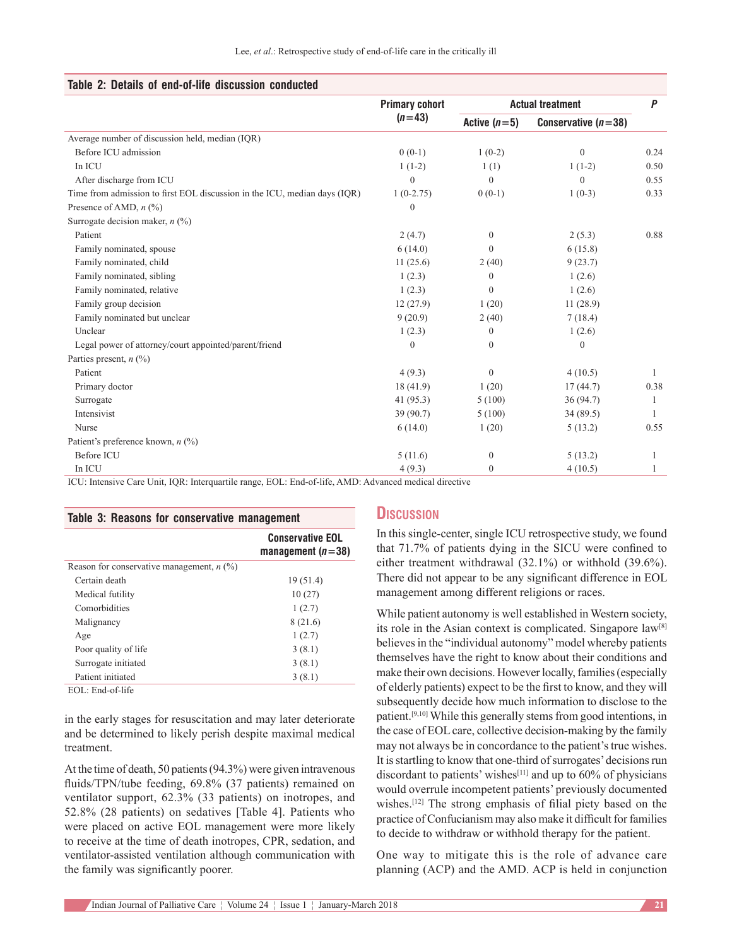|  |  |  |  | Table 2: Details of end-of-life discussion conducted |  |
|--|--|--|--|------------------------------------------------------|--|
|--|--|--|--|------------------------------------------------------|--|

|                                                                           | <b>Primary cohort</b> | <b>Actual treatment</b> |                       | P    |
|---------------------------------------------------------------------------|-----------------------|-------------------------|-----------------------|------|
|                                                                           | $(n=43)$              | Active $(n=5)$          | Conservative $(n=38)$ |      |
| Average number of discussion held, median (IQR)                           |                       |                         |                       |      |
| Before ICU admission                                                      | $0(0-1)$              | $1(0-2)$                | $\mathbf{0}$          | 0.24 |
| In ICU                                                                    | $1(1-2)$              | 1(1)                    | $1(1-2)$              | 0.50 |
| After discharge from ICU                                                  | 0                     | $\Omega$                | $\Omega$              | 0.55 |
| Time from admission to first EOL discussion in the ICU, median days (IQR) | $1(0-2.75)$           | $0(0-1)$                | $1(0-3)$              | 0.33 |
| Presence of AMD, $n$ (%)                                                  | $\theta$              |                         |                       |      |
| Surrogate decision maker, $n$ (%)                                         |                       |                         |                       |      |
| Patient                                                                   | 2(4.7)                | $\mathbf{0}$            | 2(5.3)                | 0.88 |
| Family nominated, spouse                                                  | 6(14.0)               | $\Omega$                | 6(15.8)               |      |
| Family nominated, child                                                   | 11(25.6)              | 2(40)                   | 9(23.7)               |      |
| Family nominated, sibling                                                 | 1(2.3)                | $\mathbf{0}$            | 1(2.6)                |      |
| Family nominated, relative                                                | 1(2.3)                | $\Omega$                | 1(2.6)                |      |
| Family group decision                                                     | 12(27.9)              | 1(20)                   | 11(28.9)              |      |
| Family nominated but unclear                                              | 9(20.9)               | 2(40)                   | 7(18.4)               |      |
| Unclear                                                                   | 1(2.3)                | $\mathbf{0}$            | 1(2.6)                |      |
| Legal power of attorney/court appointed/parent/friend                     | $\theta$              | $\Omega$                | $\theta$              |      |
| Parties present, $n$ (%)                                                  |                       |                         |                       |      |
| Patient                                                                   | 4(9.3)                | $\theta$                | 4(10.5)               | 1    |
| Primary doctor                                                            | 18(41.9)              | 1(20)                   | 17(44.7)              | 0.38 |
| Surrogate                                                                 | 41 $(95.3)$           | 5(100)                  | 36(94.7)              |      |
| Intensivist                                                               | 39 (90.7)             | 5(100)                  | 34(89.5)              |      |
| Nurse                                                                     | 6(14.0)               | 1(20)                   | 5(13.2)               | 0.55 |
| Patient's preference known, $n$ (%)                                       |                       |                         |                       |      |
| <b>Before ICU</b>                                                         | 5(11.6)               | $\mathbf{0}$            | 5(13.2)               |      |
| In ICU                                                                    | 4(9.3)                | $\Omega$                | 4(10.5)               | 1    |

ICU: Intensive Care Unit, IQR: Interquartile range, EOL: End‑of‑life, AMD: Advanced medical directive

| Table 3: Reasons for conservative management |                                                |  |  |  |
|----------------------------------------------|------------------------------------------------|--|--|--|
|                                              | <b>Conservative EOL</b><br>management $(n=38)$ |  |  |  |
| Reason for conservative management, $n$ (%)  |                                                |  |  |  |
| Certain death                                | 19(51.4)                                       |  |  |  |
| Medical futility                             | 10(27)                                         |  |  |  |
| Comorbidities                                | 1(2.7)                                         |  |  |  |
| Malignancy                                   | 8(21.6)                                        |  |  |  |
| Age                                          | 1(2.7)                                         |  |  |  |
| Poor quality of life                         | 3(8.1)                                         |  |  |  |
| Surrogate initiated                          | 3(8.1)                                         |  |  |  |
| Patient initiated                            | 3(8.1)                                         |  |  |  |

EOL: End-of-life

in the early stages for resuscitation and may later deteriorate and be determined to likely perish despite maximal medical treatment.

At the time of death, 50 patients(94.3%) were given intravenous fluids/TPN/tube feeding, 69.8% (37 patients) remained on ventilator support, 62.3% (33 patients) on inotropes, and 52.8% (28 patients) on sedatives [Table 4]. Patients who were placed on active EOL management were more likely to receive at the time of death inotropes, CPR, sedation, and ventilator-assisted ventilation although communication with the family was significantly poorer.

## **Discussion**

In this single-center, single ICU retrospective study, we found that 71.7% of patients dying in the SICU were confined to either treatment withdrawal (32.1%) or withhold (39.6%). There did not appear to be any significant difference in EOL management among different religions or races.

While patient autonomy is well established in Western society, its role in the Asian context is complicated. Singapore law[8] believes in the "individual autonomy" model whereby patients themselves have the right to know about their conditions and make their own decisions. However locally, families (especially of elderly patients) expect to be the first to know, and they will subsequently decide how much information to disclose to the patient.[9,10] While this generally stems from good intentions, in the case of EOL care, collective decision-making by the family may not always be in concordance to the patient's true wishes. It is startling to know that one-third of surrogates' decisions run discordant to patients' wishes<sup>[11]</sup> and up to  $60\%$  of physicians would overrule incompetent patients' previously documented wishes.[12] The strong emphasis of filial piety based on the practice of Confucianism may also make it difficult for families to decide to withdraw or withhold therapy for the patient.

One way to mitigate this is the role of advance care planning (ACP) and the AMD. ACP is held in conjunction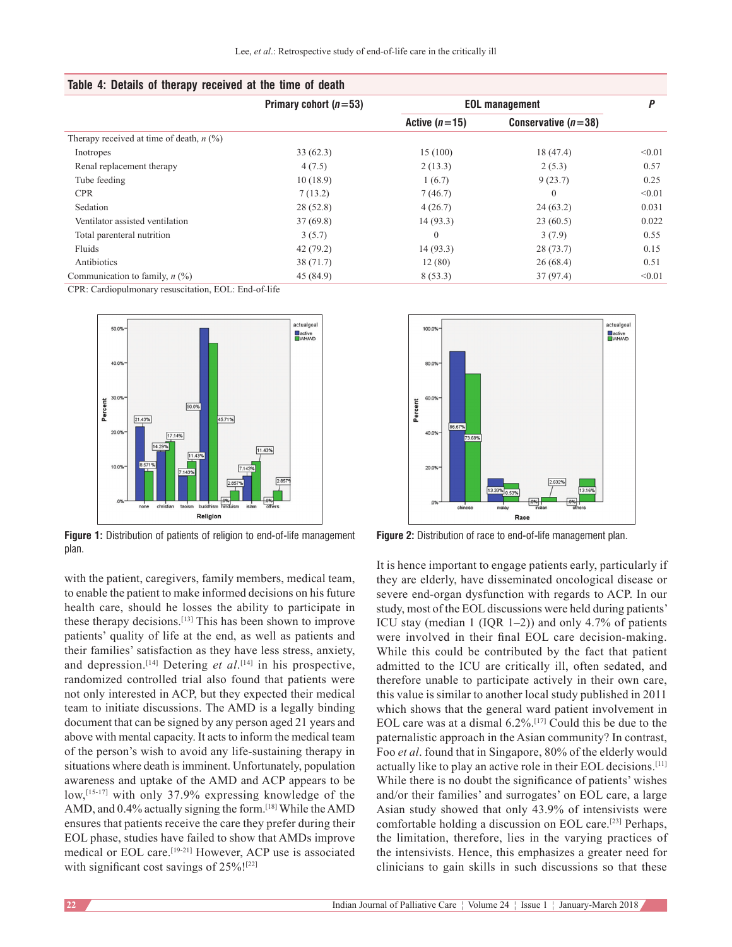| Table 4: Details of therapy received at the time of death |  |  |  |  |  |  |  |
|-----------------------------------------------------------|--|--|--|--|--|--|--|
|-----------------------------------------------------------|--|--|--|--|--|--|--|

|                                            | Primary cohort $(n=53)$ | <b>EOL management</b> | p                     |        |
|--------------------------------------------|-------------------------|-----------------------|-----------------------|--------|
|                                            |                         | Active $(n=15)$       | Conservative $(n=38)$ |        |
| Therapy received at time of death, $n$ (%) |                         |                       |                       |        |
| Inotropes                                  | 33(62.3)                | 15(100)               | 18(47.4)              | < 0.01 |
| Renal replacement therapy                  | 4(7.5)                  | 2(13.3)               | 2(5.3)                | 0.57   |
| Tube feeding                               | 10(18.9)                | 1(6.7)                | 9(23.7)               | 0.25   |
| <b>CPR</b>                                 | 7(13.2)                 | 7(46.7)               | $\theta$              | < 0.01 |
| Sedation                                   | 28(52.8)                | 4(26.7)               | 24(63.2)              | 0.031  |
| Ventilator assisted ventilation            | 37(69.8)                | 14(93.3)              | 23(60.5)              | 0.022  |
| Total parenteral nutrition                 | 3(5.7)                  | 0                     | 3(7.9)                | 0.55   |
| Fluids                                     | 42(79.2)                | 14(93.3)              | 28(73.7)              | 0.15   |
| Antibiotics                                | 38(71.7)                | 12(80)                | 26(68.4)              | 0.51   |
| Communication to family, $n$ (%)           | 45 (84.9)               | 8(53.3)               | 37 (97.4)             | < 0.01 |

CPR: Cardiopulmonary resuscitation, EOL: End-of-life



**Figure 1:** Distribution of patients of religion to end-of-life management plan.

with the patient, caregivers, family members, medical team, to enable the patient to make informed decisions on his future health care, should he losses the ability to participate in these therapy decisions.[13] This has been shown to improve patients' quality of life at the end, as well as patients and their families' satisfaction as they have less stress, anxiety, and depression.<sup>[14]</sup> Detering *et al*.<sup>[14]</sup> in his prospective, randomized controlled trial also found that patients were not only interested in ACP, but they expected their medical team to initiate discussions. The AMD is a legally binding document that can be signed by any person aged 21 years and above with mental capacity. It acts to inform the medical team of the person's wish to avoid any life‑sustaining therapy in situations where death is imminent. Unfortunately, population awareness and uptake of the AMD and ACP appears to be low,<sup>[15-17]</sup> with only 37.9% expressing knowledge of the AMD, and 0.4% actually signing the form.<sup>[18]</sup> While the AMD ensures that patients receive the care they prefer during their EOL phase, studies have failed to show that AMDs improve medical or EOL care.<sup>[19-21]</sup> However, ACP use is associated with significant cost savings of 25%!<sup>[22]</sup>



**Figure 2:** Distribution of race to end-of-life management plan.

It is hence important to engage patients early, particularly if they are elderly, have disseminated oncological disease or severe end-organ dysfunction with regards to ACP. In our study, most of the EOL discussions were held during patients' ICU stay (median 1 (IQR 1–2)) and only 4.7% of patients were involved in their final EOL care decision-making. While this could be contributed by the fact that patient admitted to the ICU are critically ill, often sedated, and therefore unable to participate actively in their own care, this value is similar to another local study published in 2011 which shows that the general ward patient involvement in EOL care was at a dismal 6.2%.[17] Could this be due to the paternalistic approach in the Asian community? In contrast, Foo *et al*. found that in Singapore, 80% of the elderly would actually like to play an active role in their EOL decisions.[11] While there is no doubt the significance of patients' wishes and/or their families' and surrogates' on EOL care, a large Asian study showed that only 43.9% of intensivists were comfortable holding a discussion on EOL care.[23] Perhaps, the limitation, therefore, lies in the varying practices of the intensivists. Hence, this emphasizes a greater need for clinicians to gain skills in such discussions so that these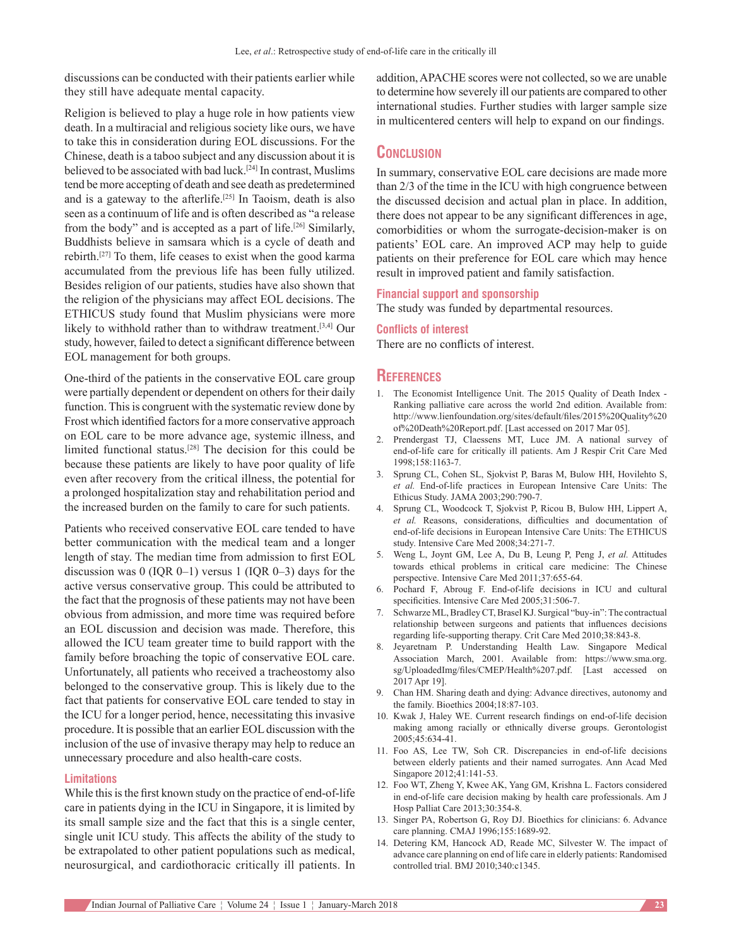discussions can be conducted with their patients earlier while they still have adequate mental capacity.

Religion is believed to play a huge role in how patients view death. In a multiracial and religious society like ours, we have to take this in consideration during EOL discussions. For the Chinese, death is a taboo subject and any discussion about it is believed to be associated with bad luck.[24] In contrast, Muslims tend be more accepting of death and see death as predetermined and is a gateway to the afterlife.[25] In Taoism, death is also seen as a continuum of life and is often described as "a release from the body" and is accepted as a part of life.<sup>[26]</sup> Similarly, Buddhists believe in samsara which is a cycle of death and rebirth.[27] To them, life ceases to exist when the good karma accumulated from the previous life has been fully utilized. Besides religion of our patients, studies have also shown that the religion of the physicians may affect EOL decisions. The ETHICUS study found that Muslim physicians were more likely to withhold rather than to withdraw treatment.<sup>[3,4]</sup> Our study, however, failed to detect a significant difference between EOL management for both groups.

One‑third of the patients in the conservative EOL care group were partially dependent or dependent on others for their daily function. This is congruent with the systematic review done by Frost which identified factors for a more conservative approach on EOL care to be more advance age, systemic illness, and limited functional status.[28] The decision for this could be because these patients are likely to have poor quality of life even after recovery from the critical illness, the potential for a prolonged hospitalization stay and rehabilitation period and the increased burden on the family to care for such patients.

Patients who received conservative EOL care tended to have better communication with the medical team and a longer length of stay. The median time from admission to first EOL discussion was  $0$  (IQR 0–1) versus 1 (IQR 0–3) days for the active versus conservative group. This could be attributed to the fact that the prognosis of these patients may not have been obvious from admission, and more time was required before an EOL discussion and decision was made. Therefore, this allowed the ICU team greater time to build rapport with the family before broaching the topic of conservative EOL care. Unfortunately, all patients who received a tracheostomy also belonged to the conservative group. This is likely due to the fact that patients for conservative EOL care tended to stay in the ICU for a longer period, hence, necessitating this invasive procedure. It is possible that an earlier EOL discussion with the inclusion of the use of invasive therapy may help to reduce an unnecessary procedure and also health-care costs.

#### **Limitations**

While this is the first known study on the practice of end-of-life care in patients dying in the ICU in Singapore, it is limited by its small sample size and the fact that this is a single center, single unit ICU study. This affects the ability of the study to be extrapolated to other patient populations such as medical, neurosurgical, and cardiothoracic critically ill patients. In

addition, APACHE scores were not collected, so we are unable to determine how severely ill our patients are compared to other international studies. Further studies with larger sample size in multicentered centers will help to expand on our findings.

# **Conclusion**

In summary, conservative EOL care decisions are made more than 2/3 of the time in the ICU with high congruence between the discussed decision and actual plan in place. In addition, there does not appear to be any significant differences in age, comorbidities or whom the surrogate-decision-maker is on patients' EOL care. An improved ACP may help to guide patients on their preference for EOL care which may hence result in improved patient and family satisfaction.

#### **Financial support and sponsorship**

The study was funded by departmental resources.

#### **Conflicts of interest**

There are no conflicts of interest.

## **References**

- 1. The Economist Intelligence Unit. The 2015 Quality of Death Index Ranking palliative care across the world 2nd edition. Available from: http://www.lienfoundation.org/sites/default/files/2015%20Quality%20 of%20Death%20Report.pdf. [Last accessed on 2017 Mar 05].
- 2. Prendergast TJ, Claessens MT, Luce JM. A national survey of end‑of‑life care for critically ill patients. Am J Respir Crit Care Med 1998;158:1163‑7.
- 3. Sprung CL, Cohen SL, Sjokvist P, Baras M, Bulow HH, Hovilehto S, *et al.* End‑of‑life practices in European Intensive Care Units: The Ethicus Study. JAMA 2003;290:790‑7.
- 4. Sprung CL, Woodcock T, Sjokvist P, Ricou B, Bulow HH, Lippert A, *et al.* Reasons, considerations, difficulties and documentation of end-of-life decisions in European Intensive Care Units: The ETHICUS study. Intensive Care Med 2008;34:271‑7.
- 5. Weng L, Joynt GM, Lee A, Du B, Leung P, Peng J, *et al.* Attitudes towards ethical problems in critical care medicine: The Chinese perspective. Intensive Care Med 2011;37:655‑64.
- 6. Pochard F, Abroug F. End‑of‑life decisions in ICU and cultural specificities. Intensive Care Med 2005;31:506-7.
- 7. Schwarze ML, BradleyCT, Brasel KJ. Surgical "buy‑in": The contractual relationship between surgeons and patients that influences decisions regarding life-supporting therapy. Crit Care Med 2010;38:843-8.
- 8. Jeyaretnam P. Understanding Health Law. Singapore Medical Association March, 2001. Available from: https://www.sma.org. sg/UploadedImg/files/CMEP/Health%207.pdf. [Last accessed on 2017 Apr 19].
- 9. Chan HM. Sharing death and dying: Advance directives, autonomy and the family. Bioethics 2004;18:87‑103.
- 10. Kwak J, Haley WE. Current research findings on end-of-life decision making among racially or ethnically diverse groups. Gerontologist 2005;45:634‑41.
- 11. Foo AS, Lee TW, Soh CR. Discrepancies in end-of-life decisions between elderly patients and their named surrogates. Ann Acad Med Singapore 2012;41:141-53.
- 12. Foo WT, Zheng Y, Kwee AK, Yang GM, Krishna L. Factors considered in end‑of‑life care decision making by health care professionals. Am J Hosp Palliat Care 2013;30:354‑8.
- 13. Singer PA, Robertson G, Roy DJ. Bioethics for clinicians: 6. Advance care planning. CMAJ 1996;155:1689-92.
- 14. Detering KM, Hancock AD, Reade MC, Silvester W. The impact of advance care planning on end of life care in elderly patients: Randomised controlled trial. BMJ 2010;340:c1345.